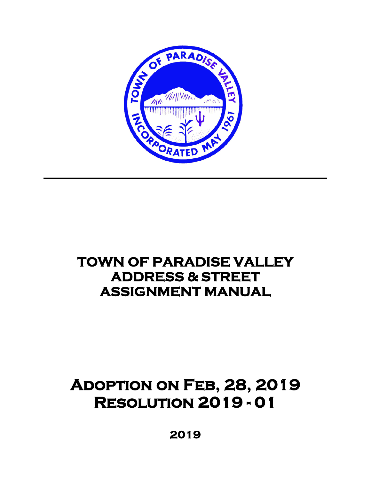

# **TOWN OF PARADISE VALLEY ADDRESS & STREET ASSIGNMENT MANUAL**

# **Adoption on Feb, 28, 2019 Resolution 2019 - 01**

 **2019**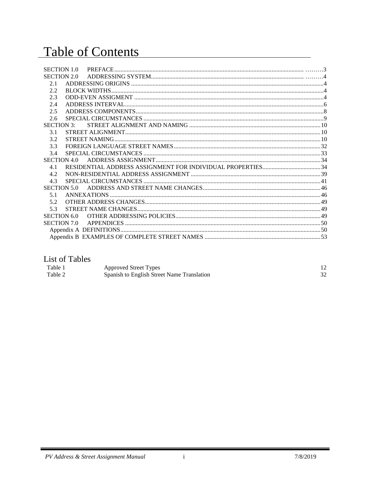# Table of Contents

| <b>SECTION 1.0</b> |  |
|--------------------|--|
| <b>SECTION 2.0</b> |  |
| 2.1                |  |
| 2.2                |  |
| 2.3                |  |
| 2.4                |  |
| 2.5                |  |
| 2.6                |  |
| <b>SECTION 3.</b>  |  |
| 3.1                |  |
| 3.2                |  |
| 3.3                |  |
| 3.4                |  |
| <b>SECTION 4.0</b> |  |
| 4.1                |  |
| 4.2                |  |
| 4.3                |  |
| <b>SECTION 5.0</b> |  |
| 5.1                |  |
| 5.2                |  |
| 5.3                |  |
| <b>SECTION 6.0</b> |  |
| SECTION 7.0        |  |
|                    |  |
|                    |  |

# List of Tables

| Table 1 | Approved Street Types                      |    |
|---------|--------------------------------------------|----|
| Table 2 | Spanish to English Street Name Translation | 32 |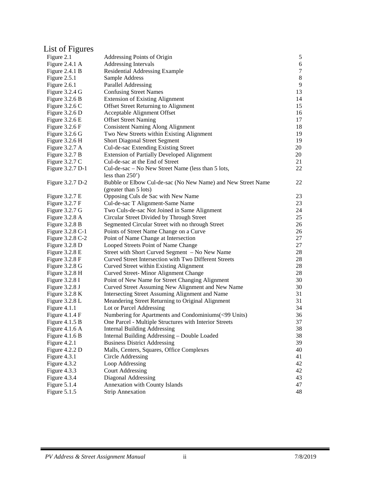# List of Figures

| Figure 2.1               | Addressing Points of Origin                                  | 5      |
|--------------------------|--------------------------------------------------------------|--------|
| Figure 2.4.1 A           | <b>Addressing Intervals</b>                                  | 6      |
| Figure $2.4.1 B$         | Residential Addressing Example                               | $\tau$ |
| Figure 2.5.1             | Sample Address                                               | $8\,$  |
| Figure 2.6.1             | Parallel Addressing                                          | 9      |
| Figure 3.2.4 G           | <b>Confusing Street Names</b>                                | 13     |
| Figure $3.2.6 B$         | <b>Extension of Existing Alignment</b>                       | 14     |
| Figure $3.2.6 C$         | Offset Street Returning to Alignment                         | 15     |
| Figure $3.2.6$ D         | Acceptable Alignment Offset                                  | 16     |
| Figure $3.2.6 \text{ E}$ | <b>Offset Street Naming</b>                                  | 17     |
| Figure $3.2.6 \text{ F}$ | <b>Consistent Naming Along Alignment</b>                     | 18     |
| Figure $3.2.6$ G         | Two New Streets within Existing Alignment                    | 19     |
| Figure 3.2.6 H           | <b>Short Diagonal Street Segment</b>                         | 19     |
| Figure 3.2.7 A           | Cul-de-sac Extending Existing Street                         | 20     |
| Figure 3.2.7 B           | <b>Extension of Partially Developed Alignment</b>            | 20     |
| Figure $3.2.7 C$         | Cul-de-sac at the End of Street                              | 21     |
| Figure 3.2.7 D-1         | Cul-de-sac – No New Street Name (less than 5 lots,           | 22     |
|                          | less than $250'$ )                                           |        |
| Figure 3.2.7 D-2         | Bubble or Elbow Cul-de-sac (No New Name) and New Street Name | 22     |
|                          | (greater than 5 lots)                                        |        |
| Figure $3.2.7 E$         | Opposing Culs de Sac with New Name                           | 23     |
| Figure $3.2.7 \text{ F}$ | Cul-de-sac T Alignment-Same Name                             | 23     |
| Figure $3.2.7$ G         | Two Culs-de-sac Not Joined in Same Alignment                 | 24     |
| Figure 3.2.8 A           | Circular Street Divided by Through Street                    | 25     |
| Figure $3.2.8 B$         | Segmented Circular Street with no through Street             | 26     |
| Figure 3.2.8 C-1         | Points of Street Name Change on a Curve                      | 26     |
| Figure 3.2.8 C-2         | Point of Name Change at Intersection                         | 27     |
| Figure $3.2.8$ D         | Looped Streets Point of Name Change                          | 27     |
| Figure $3.2.8 \text{ E}$ | Street with Short Curved Segment - No New Name               | 28     |
| Figure $3.2.8 \text{ F}$ | Curved Street Intersection with Two Different Streets        | 28     |
| Figure 3.2.8 G           | Curved Street within Existing Alignment                      | 28     |
| Figure 3.2.8 H           | Curved Street-Minor Alignment Change                         | 28     |
| Figure $3.2.8$ I         | Point of New Name for Street Changing Alignment              | 30     |
| Figure 3.2.8 J           | Curved Street Assuming New Alignment and New Name            | 30     |
| Figure $3.2.8 K$         | Intersecting Street Assuming Alignment and Name              | 31     |
| Figure $3.2.8$ L         | Meandering Street Returning to Original Alignment            | 31     |
| Figure 4.1.1             | Lot or Parcel Addressing                                     | 34     |
| Figure $4.1.4 \text{ F}$ | Numbering for Apartments and Condominiums(<99 Units)         | 36     |
| Figure $4.1.5 B$         | One Parcel - Multiple Structures with Interior Streets       | 37     |
| Figure $4.1.6$ A         | <b>Internal Building Addressing</b>                          | 38     |
| Figure $4.1.6 B$         | Internal Building Addressing - Double Loaded                 | 38     |
| Figure 4.2.1             | <b>Business District Addressing</b>                          | 39     |
| Figure 4.2.2 D           | Malls, Centers, Squares, Office Complexes                    | 40     |
| Figure 4.3.1             | Circle Addressing                                            | 41     |
| Figure 4.3.2             | Loop Addressing                                              | 42     |
| Figure 4.3.3             | <b>Court Addressing</b>                                      | 42     |
| Figure 4.3.4             | Diagonal Addressing                                          | 43     |
| Figure 5.1.4             | Annexation with County Islands                               | 47     |
| Figure 5.1.5             | <b>Strip Annexation</b>                                      | 48     |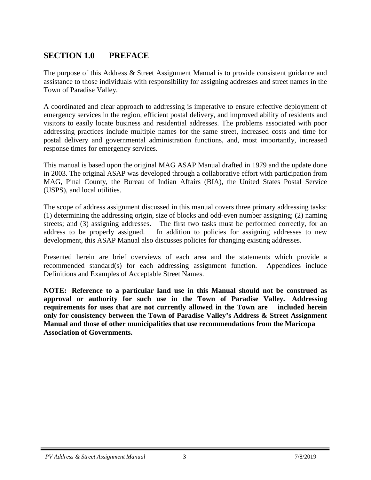# <span id="page-3-0"></span>**SECTION 1.0 PREFACE**

The purpose of this Address & Street Assignment Manual is to provide consistent guidance and assistance to those individuals with responsibility for assigning addresses and street names in the Town of Paradise Valley.

A coordinated and clear approach to addressing is imperative to ensure effective deployment of emergency services in the region, efficient postal delivery, and improved ability of residents and visitors to easily locate business and residential addresses. The problems associated with poor addressing practices include multiple names for the same street, increased costs and time for postal delivery and governmental administration functions, and, most importantly, increased response times for emergency services.

This manual is based upon the original MAG ASAP Manual drafted in 1979 and the update done in 2003. The original ASAP was developed through a collaborative effort with participation from MAG, Pinal County, the Bureau of Indian Affairs (BIA), the United States Postal Service (USPS), and local utilities.

The scope of address assignment discussed in this manual covers three primary addressing tasks: (1) determining the addressing origin, size of blocks and odd-even number assigning; (2) naming streets; and (3) assigning addresses. The first two tasks must be performed correctly, for an address to be properly assigned. In addition to policies for assigning addresses to new development, this ASAP Manual also discusses policies for changing existing addresses.

Presented herein are brief overviews of each area and the statements which provide a recommended standard(s) for each addressing assignment function. Appendices include Definitions and Examples of Acceptable Street Names.

**NOTE: Reference to a particular land use in this Manual should not be construed as approval or authority for such use in the Town of Paradise Valley. Addressing requirements for uses that are not currently allowed in the Town are included herein only for consistency between the Town of Paradise Valley's Address & Street Assignment Manual and those of other municipalities that use recommendations from the Maricopa Association of Governments.**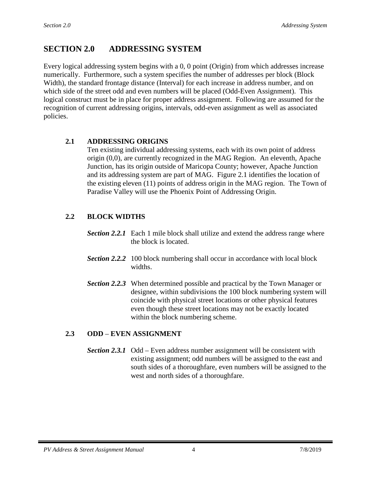# <span id="page-4-0"></span>**SECTION 2.0 ADDRESSING SYSTEM**

Every logical addressing system begins with a 0, 0 point (Origin) from which addresses increase numerically. Furthermore, such a system specifies the number of addresses per block (Block Width), the standard frontage distance (Interval) for each increase in address number, and on which side of the street odd and even numbers will be placed (Odd-Even Assignment). This logical construct must be in place for proper address assignment. Following are assumed for the recognition of current addressing origins, intervals, odd-even assignment as well as associated policies.

# <span id="page-4-1"></span>**2.1 ADDRESSING ORIGINS**

Ten existing individual addressing systems, each with its own point of address origin (0,0), are currently recognized in the MAG Region. An eleventh, Apache Junction, has its origin outside of Maricopa County; however, Apache Junction and its addressing system are part of MAG. Figure 2.1 identifies the location of the existing eleven (11) points of address origin in the MAG region. The Town of Paradise Valley will use the Phoenix Point of Addressing Origin.

# **2.2 BLOCK WIDTHS**

- *Section 2.2.1* Each 1 mile block shall utilize and extend the address range where the block is located.
- **Section** 2.2.2 100 block numbering shall occur in accordance with local block widths.
- *Section 2.2.3* When determined possible and practical by the Town Manager or designee, within subdivisions the 100 block numbering system will coincide with physical street locations or other physical features even though these street locations may not be exactly located within the block numbering scheme.

# <span id="page-4-2"></span>**2.3 ODD** – **EVEN ASSIGNMENT**

*Section 2.3.1* Odd – Even address number assignment will be consistent with existing assignment; odd numbers will be assigned to the east and south sides of a thoroughfare, even numbers will be assigned to the west and north sides of a thoroughfare.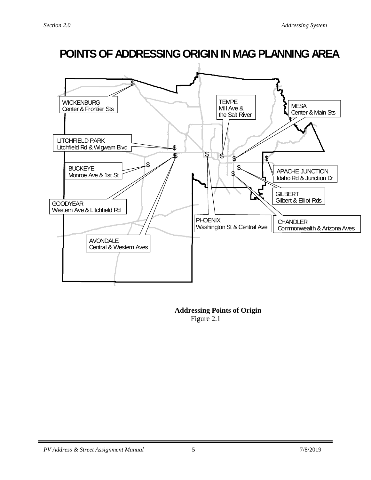

#### **Addressing Points of Origin** Figure 2.1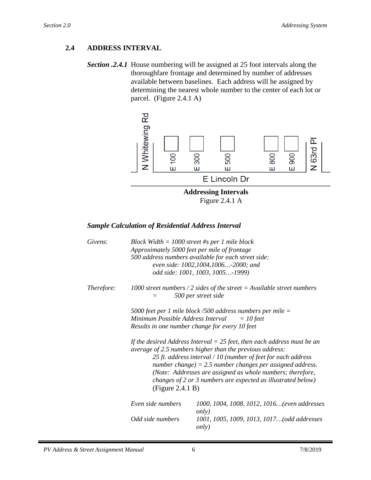## <span id="page-6-0"></span>**2.4 ADDRESS INTERVAL**

*Section .2.4.1* House numbering will be assigned at 25 foot intervals along the thoroughfare frontage and determined by number of addresses available between baselines. Each address will be assigned by determining the nearest whole number to the center of each lot or parcel. (Figure 2.4.1 A)



Figure 2.4.1 A

#### *Sample Calculation of Residential Address Interval*

| Givens:    |                                                       | Block Width $= 1000$ street #s per 1 mile block<br>Approximately 5000 feet per mile of frontage<br>500 address numbers available for each street side:<br>even side: 1002, 1004, 1006 -2000; and<br>odd side: 1001, 1003, 1005-1999)                                                                                                                                                                                                                                                                                              |
|------------|-------------------------------------------------------|-----------------------------------------------------------------------------------------------------------------------------------------------------------------------------------------------------------------------------------------------------------------------------------------------------------------------------------------------------------------------------------------------------------------------------------------------------------------------------------------------------------------------------------|
| Therefore: |                                                       | 1000 street numbers / 2 sides of the street = Available street numbers<br>500 per street side                                                                                                                                                                                                                                                                                                                                                                                                                                     |
|            | Minimum Possible Address Interval<br>(Figure 2.4.1 B) | 5000 feet per 1 mile block/500 address numbers per mile $=$<br>$=$ 10 feet<br>Results in one number change for every 10 feet<br>If the desired Address Interval $=$ 25 feet, then each address must be an<br>average of 2.5 numbers higher than the previous address:<br>25 ft. address interval / 10 (number of feet for each address<br>number change) = 2.5 number changes per assigned address.<br>(Note: Addresses are assigned as whole numbers; therefore,<br>changes of 2 or 3 numbers are expected as illustrated below) |
|            | Even side numbers                                     | 1000, 1004, 1008, 1012, 1016(even addresses<br><i>only</i> )                                                                                                                                                                                                                                                                                                                                                                                                                                                                      |
|            | Odd side numbers                                      | 1001, 1005, 1009, 1013, 1017(odd addresses<br><i>only</i> )                                                                                                                                                                                                                                                                                                                                                                                                                                                                       |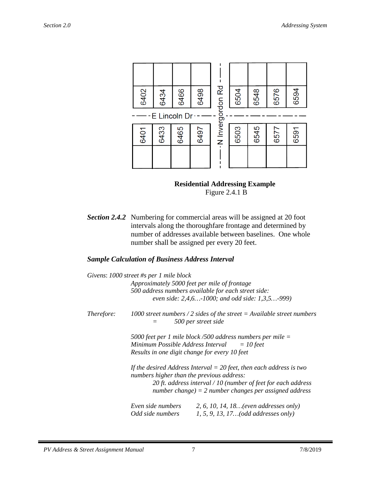

#### **Residential Addressing Example** Figure 2.4.1 B

*Section 2.4.2* Numbering for commercial areas will be assigned at 20 foot intervals along the thoroughfare frontage and determined by number of addresses available between baselines. One whole number shall be assigned per every 20 feet.

#### *Sample Calculation of Business Address Interval*

|                   | Givens: $1000$ street #s per 1 mile block                   |                                                                                                                          |  |
|-------------------|-------------------------------------------------------------|--------------------------------------------------------------------------------------------------------------------------|--|
|                   | Approximately 5000 feet per mile of frontage                |                                                                                                                          |  |
|                   |                                                             | 500 address numbers available for each street side:                                                                      |  |
|                   |                                                             | even side: 2,4,6-1000; and odd side: 1,3,5-999)                                                                          |  |
| <i>Therefore:</i> |                                                             | 1000 street numbers / 2 sides of the street = Available street numbers<br>500 per street side                            |  |
|                   | 5000 feet per 1 mile block/500 address numbers per mile $=$ |                                                                                                                          |  |
|                   | Minimum Possible Address Interval<br>$=10$ feet             |                                                                                                                          |  |
|                   | Results in one digit change for every 10 feet               |                                                                                                                          |  |
|                   | numbers higher than the previous address:                   | If the desired Address Interval $=$ 20 feet, then each address is two                                                    |  |
|                   |                                                             | 20 ft. address interval $/10$ (number of feet for each address<br>number change) = 2 number changes per assigned address |  |
|                   | Even side numbers                                           | 2, 6, 10, 14, 18 (even addresses only)                                                                                   |  |
|                   | Odd side numbers                                            | 1, 5, 9, 13, 17(odd addresses only)                                                                                      |  |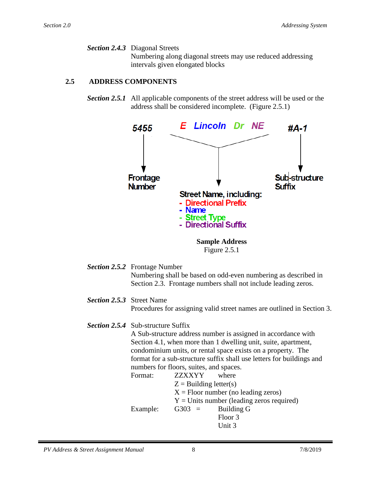*Section 2.4.3* Diagonal Streets Numbering along diagonal streets may use reduced addressing intervals given elongated blocks

# <span id="page-8-0"></span>**2.5 ADDRESS COMPONENTS**

*Section 2.5.1* All applicable components of the street address will be used or the address shall be considered incomplete. (Figure 2.5.1)



Figure 2.5.1

- *Section 2.5.2* Frontage Number Numbering shall be based on odd-even numbering as described in Section 2.3. Frontage numbers shall not include leading zeros.
- *Section 2.5.3* Street Name Procedures for assigning valid street names are outlined in Section 3.

## *Section 2.5.4* Sub-structure Suffix

A Sub-structure address number is assigned in accordance with Section 4.1, when more than 1 dwelling unit, suite, apartment, condominium units, or rental space exists on a property. The format for a sub-structure suffix shall use letters for buildings and numbers for floors, suites, and spaces.

Format: **ZZXXYY** where  $Z =$ Building letter(s)  $X =$  Floor number (no leading zeros)  $Y =$  Units number (leading zeros required) Example:  $G303 =$  Building G Floor 3 Unit 3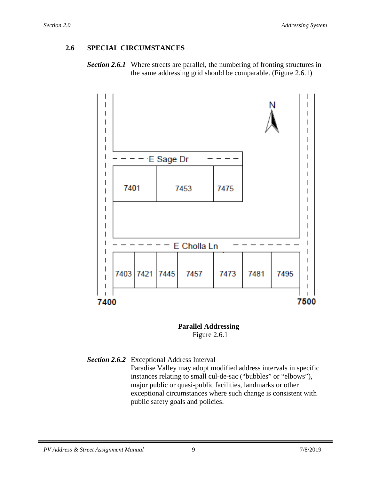# <span id="page-9-0"></span>**2.6 SPECIAL CIRCUMSTANCES**





 **Parallel Addressing** Figure 2.6.1

*Section 2.6.2* Exceptional Address Interval Paradise Valley may adopt modified address intervals in specific instances relating to small cul-de-sac ("bubbles" or "elbows"), major public or quasi-public facilities, landmarks or other exceptional circumstances where such change is consistent with public safety goals and policies.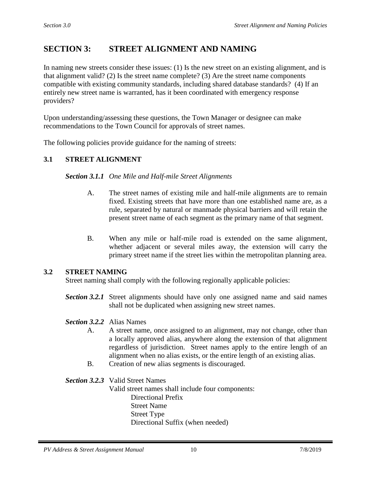# **SECTION 3: STREET ALIGNMENT AND NAMING**

In naming new streets consider these issues: (1) Is the new street on an existing alignment, and is that alignment valid? (2) Is the street name complete? (3) Are the street name components compatible with existing community standards, including shared database standards? (4) If an entirely new street name is warranted, has it been coordinated with emergency response providers?

Upon understanding/assessing these questions, the Town Manager or designee can make recommendations to the Town Council for approvals of street names.

The following policies provide guidance for the naming of streets:

### <span id="page-10-0"></span>**3.1 STREET ALIGNMENT**

#### *Section 3.1.1 One Mile and Half-mile Street Alignments*

- A. The street names of existing mile and half-mile alignments are to remain fixed. Existing streets that have more than one established name are, as a rule, separated by natural or manmade physical barriers and will retain the present street name of each segment as the primary name of that segment.
- B. When any mile or half-mile road is extended on the same alignment, whether adjacent or several miles away, the extension will carry the primary street name if the street lies within the metropolitan planning area.

#### <span id="page-10-1"></span>**3.2 STREET NAMING**

Street naming shall comply with the following regionally applicable policies:

*Section 3.2.1* Street alignments should have only one assigned name and said names shall not be duplicated when assigning new street names.

#### *Section 3.2.2* Alias Names

- A. A street name, once assigned to an alignment, may not change, other than a locally approved alias, anywhere along the extension of that alignment regardless of jurisdiction. Street names apply to the entire length of an alignment when no alias exists, or the entire length of an existing alias.
- B. Creation of new alias segments is discouraged.

#### *Section 3.2.3* Valid Street Names

Valid street names shall include four components: Directional Prefix Street Name Street Type Directional Suffix (when needed)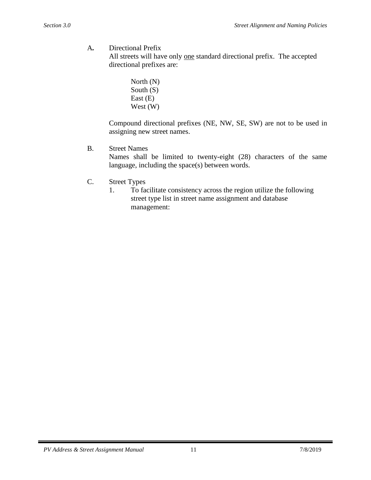A*.* Directional Prefix

All streets will have only one standard directional prefix. The accepted directional prefixes are:

> North (N) South (S) East (E) West (W)

Compound directional prefixes (NE, NW, SE, SW) are not to be used in assigning new street names.

B. Street Names

Names shall be limited to twenty-eight (28) characters of the same language, including the space(s) between words.

- C. Street Types
	- 1. To facilitate consistency across the region utilize the following street type list in street name assignment and database management: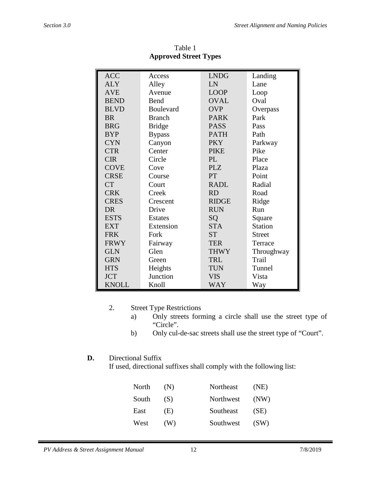| <b>ACC</b>   | Access           | <b>LNDG</b>     | Landing        |
|--------------|------------------|-----------------|----------------|
| <b>ALY</b>   | Alley            | LN              | Lane           |
| <b>AVE</b>   | Avenue           | <b>LOOP</b>     | Loop           |
| <b>BEND</b>  | Bend             | <b>OVAL</b>     | Oval           |
| <b>BLVD</b>  | <b>Boulevard</b> | <b>OVP</b>      | Overpass       |
| BR.          | <b>Branch</b>    | <b>PARK</b>     | Park           |
| <b>BRG</b>   | <b>Bridge</b>    | <b>PASS</b>     | Pass           |
| <b>BYP</b>   | <b>Bypass</b>    | <b>PATH</b>     | Path           |
| <b>CYN</b>   | Canyon           | <b>PKY</b>      | Parkway        |
| <b>CTR</b>   | Center           | <b>PIKE</b>     | Pike           |
| <b>CIR</b>   | Circle           | PL              | Place          |
| <b>COVE</b>  | Cove             | <b>PLZ</b>      | Plaza          |
| <b>CRSE</b>  | Course           | PT              | Point          |
| CT           | Court            | <b>RADL</b>     | Radial         |
| <b>CRK</b>   | Creek            | <b>RD</b>       | Road           |
| <b>CRES</b>  | Crescent         | <b>RIDGE</b>    | Ridge          |
| DR.          | Drive            | <b>RUN</b>      | Run            |
| <b>ESTS</b>  | <b>Estates</b>   | SQ              | Square         |
| <b>EXT</b>   | Extension        | <b>STA</b>      | <b>Station</b> |
| <b>FRK</b>   | Fork             | ST <sup>-</sup> | <b>Street</b>  |
| <b>FRWY</b>  | Fairway          | <b>TER</b>      | Terrace        |
| <b>GLN</b>   | Glen             | <b>THWY</b>     | Throughway     |
| <b>GRN</b>   | Green            | <b>TRL</b>      | Trail          |
| <b>HTS</b>   | Heights          | <b>TUN</b>      | Tunnel         |
| <b>JCT</b>   | Junction         | <b>VIS</b>      | Vista          |
| <b>KNOLL</b> | Knoll            | <b>WAY</b>      | Way            |

Table 1 **Approved Street Types**

# 2. Street Type Restrictions

- a) Only streets forming a circle shall use the street type of "Circle".
- b) Only cul-de-sac streets shall use the street type of "Court".

# **D.** Directional Suffix

If used, directional suffixes shall comply with the following list:

| North | (N) | Northeast | (NE) |
|-------|-----|-----------|------|
| South | (S) | Northwest | (NW) |
| East  | (E) | Southeast | (SE) |
| West  | (W) | Southwest | (SW) |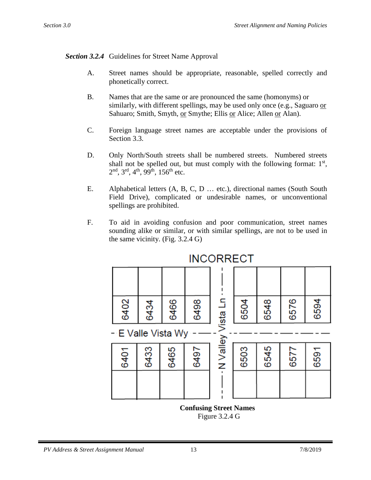## *Section 3.2.4* Guidelines for Street Name Approval

- A. Street names should be appropriate, reasonable, spelled correctly and phonetically correct.
- B. Names that are the same or are pronounced the same (homonyms) or similarly, with different spellings, may be used only once (e.g., Saguaro or Sahuaro; Smith, Smyth, or Smythe; Ellis or Alice; Allen or Alan).
- C. Foreign language street names are acceptable under the provisions of Section 3.3.
- D. Only North/South streets shall be numbered streets. Numbered streets shall not be spelled out, but must comply with the following format:  $1<sup>st</sup>$ ,  $2<sup>nd</sup>$ ,  $3<sup>rd</sup>$ ,  $4<sup>th</sup>$ ,  $99<sup>th</sup>$ ,  $156<sup>th</sup>$  etc.
- E. Alphabetical letters (A, B, C, D … etc.), directional names (South South Field Drive), complicated or undesirable names, or unconventional spellings are prohibited.
- F. To aid in avoiding confusion and poor communication, street names sounding alike or similar, or with similar spellings, are not to be used in the same vicinity. (Fig. 3.2.4 G)



**INCORRECT** 

 **Confusing Street Names** Figure 3.2.4 G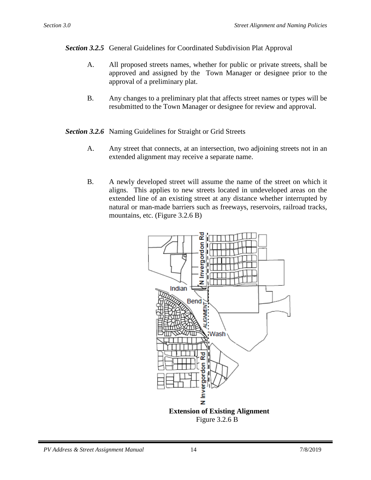*Section 3.2.5* General Guidelines for Coordinated Subdivision Plat Approval

- A. All proposed streets names, whether for public or private streets, shall be approved and assigned by the Town Manager or designee prior to the approval of a preliminary plat.
- B. Any changes to a preliminary plat that affects street names or types will be resubmitted to the Town Manager or designee for review and approval.
- *Section 3.2.6* Naming Guidelines for Straight or Grid Streets
	- A. Any street that connects, at an intersection, two adjoining streets not in an extended alignment may receive a separate name.
	- B. A newly developed street will assume the name of the street on which it aligns. This applies to new streets located in undeveloped areas on the extended line of an existing street at any distance whether interrupted by natural or man-made barriers such as freeways, reservoirs, railroad tracks, mountains, etc. (Figure 3.2.6 B)



Figure 3.2.6 B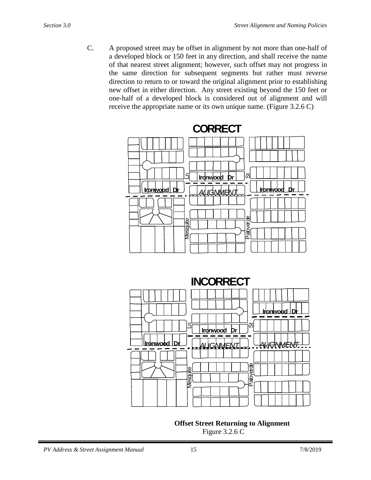C. A proposed street may be offset in alignment by not more than one-half of a developed block or 150 feet in any direction, and shall receive the name of that nearest street alignment; however, such offset may not progress in the same direction for subsequent segments but rather must reverse direction to return to or toward the original alignment prior to establishing new offset in either direction. Any street existing beyond the 150 feet or one-half of a developed block is considered out of alignment and will receive the appropriate name or its own unique name. (Figure 3.2.6 C)





**Offset Street Returning to Alignment** Figure 3.2.6 C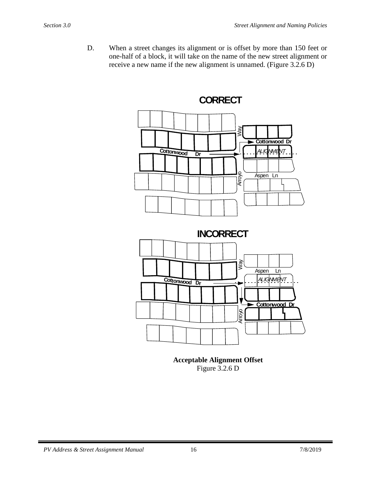D. When a street changes its alignment or is offset by more than 150 feet or one-half of a block, it will take on the name of the new street alignment or receive a new name if the new alignment is unnamed. (Figure 3.2.6 D)



**Acceptable Alignment Offset** Figure 3.2.6 D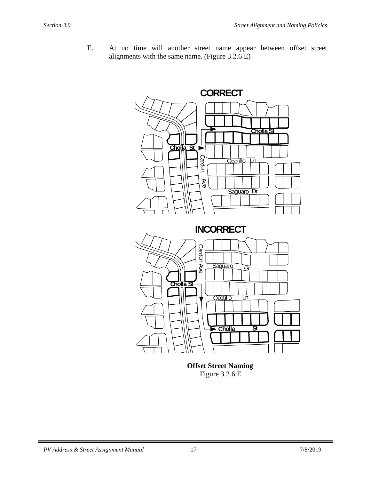E. At no time will another street name appear between offset street alignments with the same name. (Figure 3.2.6 E)



 **Offset Street Naming** Figure 3.2.6 E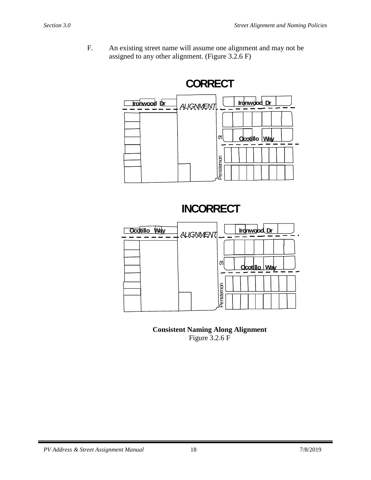F. An existing street name will assume one alignment and may not be assigned to any other alignment. (Figure 3.2.6 F)



**INCORRECT**



**Consistent Naming Along Alignment** Figure 3.2.6 F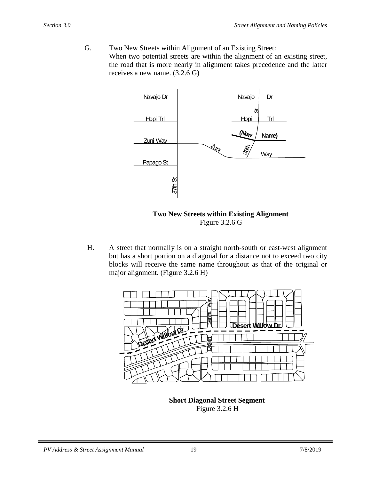G. Two New Streets within Alignment of an Existing Street: When two potential streets are within the alignment of an existing street, the road that is more nearly in alignment takes precedence and the latter receives a new name. (3.2.6 G)



 **Two New Streets within Existing Alignment** Figure 3.2.6 G

H. A street that normally is on a straight north-south or east-west alignment but has a short portion on a diagonal for a distance not to exceed two city blocks will receive the same name throughout as that of the original or major alignment. (Figure 3.2.6 H)



 **Short Diagonal Street Segment** Figure 3.2.6 H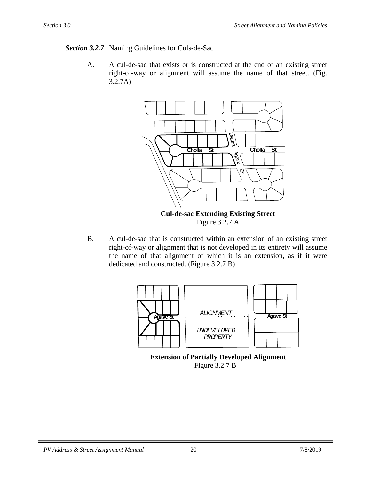## *Section 3.2.7* Naming Guidelines for Culs-de-Sac

A. A cul-de-sac that exists or is constructed at the end of an existing street right-of-way or alignment will assume the name of that street. (Fig. 3.2.7A)



B. A cul-de-sac that is constructed within an extension of an existing street right-of-way or alignment that is not developed in its entirety will assume the name of that alignment of which it is an extension, as if it were dedicated and constructed. (Figure 3.2.7 B)



 **Extension of Partially Developed Alignment** Figure 3.2.7 B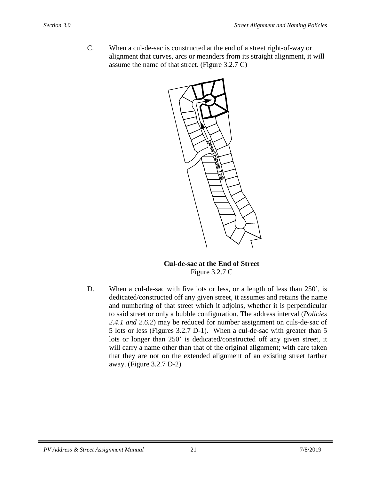C. When a cul-de-sac is constructed at the end of a street right-of-way or alignment that curves, arcs or meanders from its straight alignment, it will assume the name of that street. (Figure 3.2.7 C)



#### **Cul-de-sac at the End of Street** Figure 3.2.7 C

D. When a cul-de-sac with five lots or less, or a length of less than 250', is dedicated/constructed off any given street, it assumes and retains the name and numbering of that street which it adjoins, whether it is perpendicular to said street or only a bubble configuration. The address interval (*Policies 2.4.1 and 2.6.2*) may be reduced for number assignment on culs-de-sac of 5 lots or less (Figures 3.2.7 D-1). When a cul-de-sac with greater than 5 lots or longer than 250' is dedicated/constructed off any given street, it will carry a name other than that of the original alignment; with care taken that they are not on the extended alignment of an existing street farther away. (Figure 3.2.7 D-2)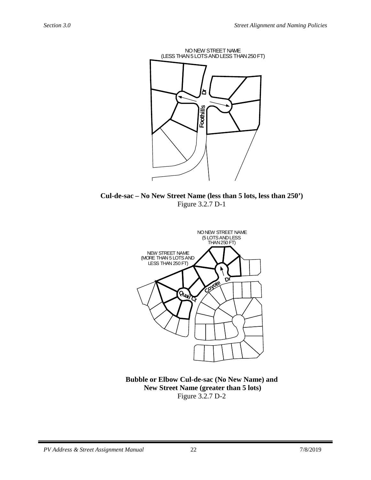

**Cul-de-sac – No New Street Name (less than 5 lots, less than 250')** Figure 3.2.7 D-1



**Bubble or Elbow Cul-de-sac (No New Name) and New Street Name (greater than 5 lots)** Figure 3.2.7 D-2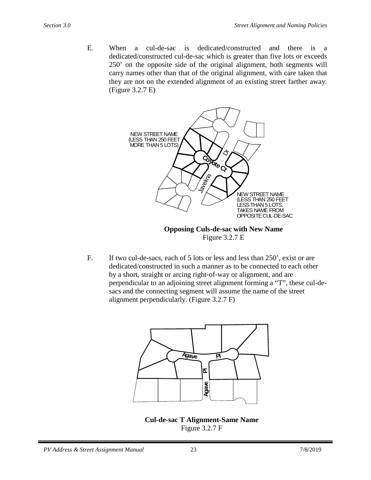E. When a cul-de-sac is dedicated/constructed and there is a dedicated/constructed cul-de-sac which is greater than five lots or exceeds 250' on the opposite side of the original alignment, both segments will carry names other than that of the original alignment, with care taken that they are not on the extended alignment of an existing street farther away. (Figure 3.2.7 E)



Figure 3.2.7 E

F. If two cul-de-sacs, each of 5 lots or less and less than 250', exist or are dedicated/constructed in such a manner as to be connected to each other by a short, straight or arcing right-of-way or alignment, and are perpendicular to an adjoining street alignment forming a "T", these cul-desacs and the connecting segment will assume the name of the street alignment perpendicularly. (Figure 3.2.7 F)



**Cul-de-sac T Alignment-Same Name** Figure 3.2.7 F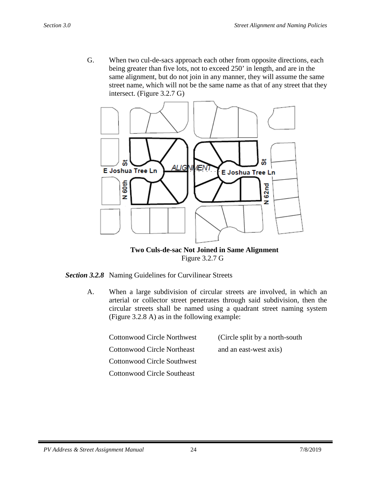G. When two cul-de-sacs approach each other from opposite directions, each being greater than five lots, not to exceed 250' in length, and are in the same alignment, but do not join in any manner, they will assume the same street name, which will not be the same name as that of any street that they intersect. (Figure 3.2.7 G)



 **Two Culs-de-sac Not Joined in Same Alignment** Figure 3.2.7 G

*Section 3.2.8* Naming Guidelines for Curvilinear Streets

A. When a large subdivision of circular streets are involved, in which an arterial or collector street penetrates through said subdivision, then the circular streets shall be named using a quadrant street naming system (Figure 3.2.8 A) as in the following example:

| <b>Cottonwood Circle Northwest</b> | (Circle split by a north-south) |
|------------------------------------|---------------------------------|
| <b>Cottonwood Circle Northeast</b> | and an east-west axis)          |
| <b>Cottonwood Circle Southwest</b> |                                 |
| Cottonwood Circle Southeast        |                                 |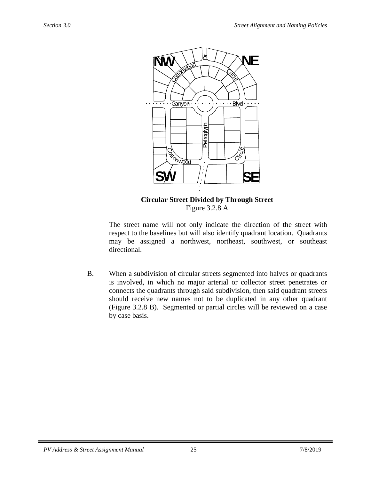

**Circular Street Divided by Through Street** Figure 3.2.8 A

The street name will not only indicate the direction of the street with respect to the baselines but will also identify quadrant location. Quadrants may be assigned a northwest, northeast, southwest, or southeast directional.

B. When a subdivision of circular streets segmented into halves or quadrants is involved, in which no major arterial or collector street penetrates or connects the quadrants through said subdivision, then said quadrant streets should receive new names not to be duplicated in any other quadrant (Figure 3.2.8 B). Segmented or partial circles will be reviewed on a case by case basis.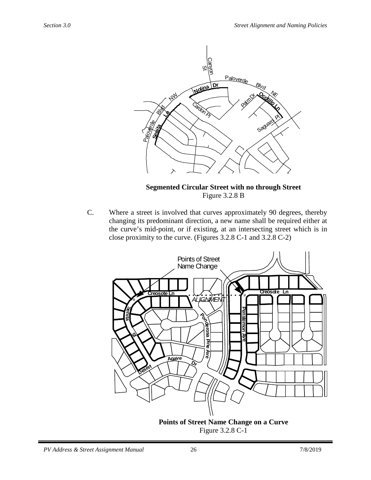

**Segmented Circular Street with no through Street** Figure 3.2.8 B

C. Where a street is involved that curves approximately 90 degrees, thereby changing its predominant direction, a new name shall be required either at the curve's mid-point, or if existing, at an intersecting street which is in close proximity to the curve. (Figures 3.2.8 C-1 and 3.2.8 C-2)



Figure 3.2.8 C-1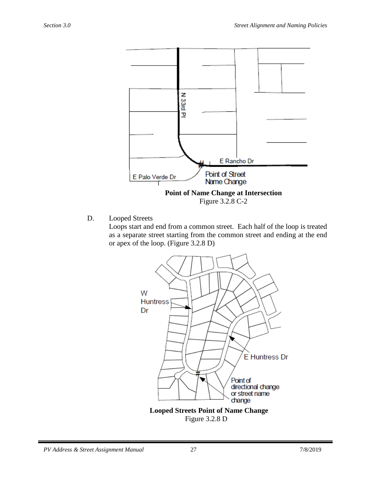

D. Looped Streets

Loops start and end from a common street. Each half of the loop is treated as a separate street starting from the common street and ending at the end or apex of the loop. (Figure 3.2.8 D)



Figure 3.2.8 D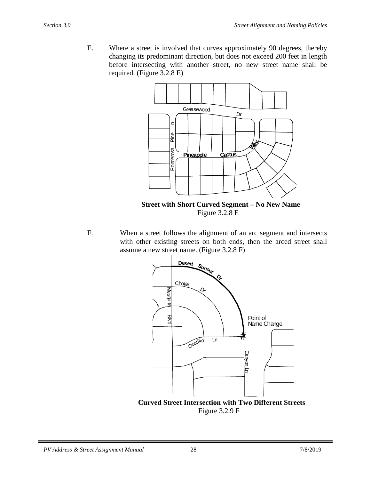E. Where a street is involved that curves approximately 90 degrees, thereby changing its predominant direction, but does not exceed 200 feet in length before intersecting with another street, no new street name shall be required. (Figure 3.2.8 E)



 **Street with Short Curved Segment – No New Name** Figure 3.2.8 E

F. When a street follows the alignment of an arc segment and intersects with other existing streets on both ends, then the arced street shall assume a new street name. (Figure 3.2.8 F)



Figure 3.2.9 F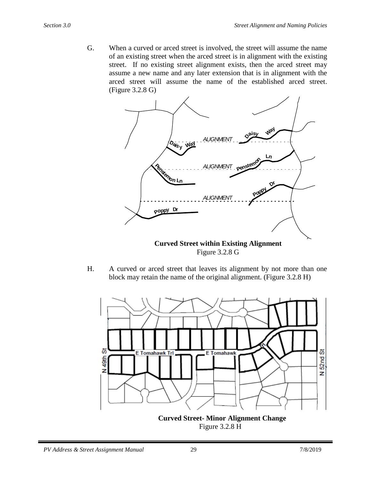G. When a curved or arced street is involved, the street will assume the name of an existing street when the arced street is in alignment with the existing street. If no existing street alignment exists, then the arced street may assume a new name and any later extension that is in alignment with the arced street will assume the name of the established arced street. (Figure 3.2.8 G)



Figure 3.2.8 G

H. A curved or arced street that leaves its alignment by not more than one block may retain the name of the original alignment. (Figure 3.2.8 H)



Figure 3.2.8 H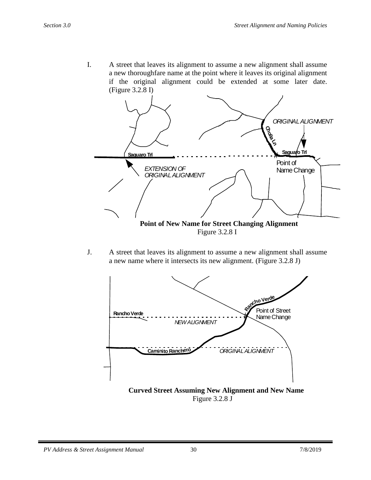I. A street that leaves its alignment to assume a new alignment shall assume a new thoroughfare name at the point where it leaves its original alignment if the original alignment could be extended at some later date. (Figure 3.2.8 I)



Figure 3.2.8 I

J. A street that leaves its alignment to assume a new alignment shall assume a new name where it intersects its new alignment. (Figure 3.2.8 J)



 **Curved Street Assuming New Alignment and New Name** Figure 3.2.8 J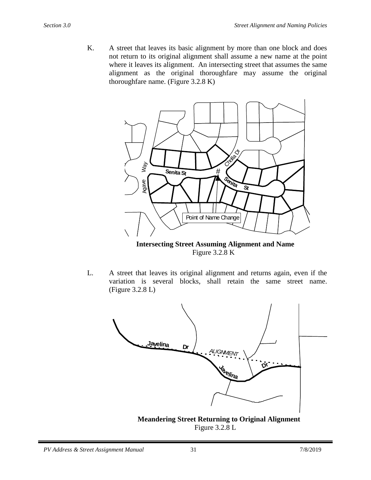K. A street that leaves its basic alignment by more than one block and does not return to its original alignment shall assume a new name at the point where it leaves its alignment. An intersecting street that assumes the same alignment as the original thoroughfare may assume the original thoroughfare name. (Figure 3.2.8 K)



 **Intersecting Street Assuming Alignment and Name** Figure 3.2.8 K

L. A street that leaves its original alignment and returns again, even if the variation is several blocks, shall retain the same street name. (Figure 3.2.8 L)



 **Meandering Street Returning to Original Alignment** Figure 3.2.8 L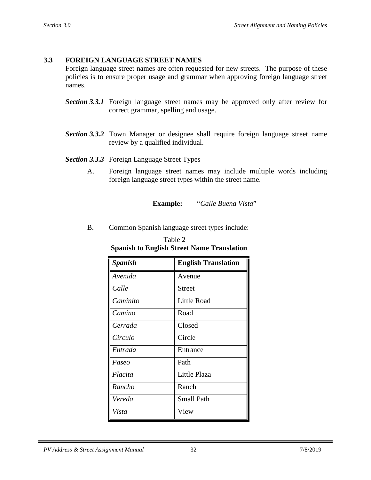# <span id="page-32-0"></span>**3.3 FOREIGN LANGUAGE STREET NAMES**

Foreign language street names are often requested for new streets. The purpose of these policies is to ensure proper usage and grammar when approving foreign language street names.

- *Section 3.3.1* Foreign language street names may be approved only after review for correct grammar, spelling and usage.
- *Section 3.3.2* Town Manager or designee shall require foreign language street name review by a qualified individual.
- *Section 3.3.3* Foreign Language Street Types
	- A. Foreign language street names may include multiple words including foreign language street types within the street name.

**Example:** *"Calle Buena Vista*"

B. Common Spanish language street types include:

| Table 2                                           |  |  |  |
|---------------------------------------------------|--|--|--|
| <b>Spanish to English Street Name Translation</b> |  |  |  |
| <b>F</b> nalich Tranclation<br>Spanish            |  |  |  |

| <b>Spanish</b> | <b>English Translation</b> |
|----------------|----------------------------|
| Avenida        | Avenue                     |
| Calle          | Street                     |
| Caminito       | <b>Little Road</b>         |
| Camino         | Road                       |
| Cerrada        | Closed                     |
| Circulo        | Circle                     |
| Entrada        | Entrance                   |
| Paseo          | Path                       |
| Placita        | Little Plaza               |
| Rancho         | Ranch                      |
| Vereda         | <b>Small Path</b>          |
| Vista          | View                       |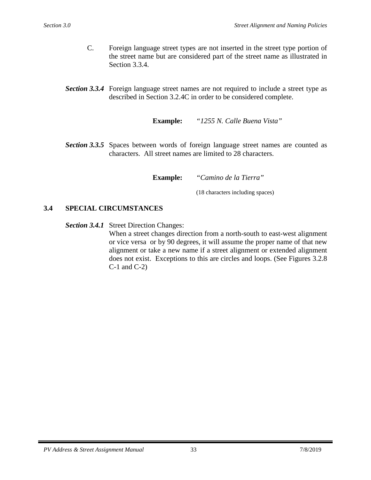- C. Foreign language street types are not inserted in the street type portion of the street name but are considered part of the street name as illustrated in Section 3.3.4.
- *Section 3.3.4* Foreign language street names are not required to include a street type as described in Section 3.2.4C in order to be considered complete.

**Example:** *"1255 N. Calle Buena Vista"*

**Section** 3.3.5 Spaces between words of foreign language street names are counted as characters. All street names are limited to 28 characters.

**Example:** *"Camino de la Tierra"*

(18 characters including spaces)

### <span id="page-33-0"></span>**3.4 SPECIAL CIRCUMSTANCES**

*Section 3.4.1* Street Direction Changes:

When a street changes direction from a north-south to east-west alignment or vice versa or by 90 degrees, it will assume the proper name of that new alignment or take a new name if a street alignment or extended alignment does not exist. Exceptions to this are circles and loops. (See Figures 3.2.8 C-1 and C-2)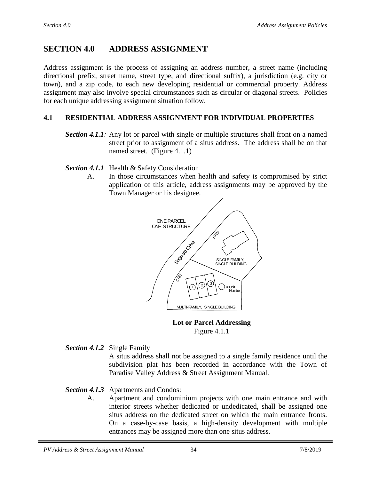# <span id="page-34-0"></span>**SECTION 4.0 ADDRESS ASSIGNMENT**

Address assignment is the process of assigning an address number, a street name (including directional prefix, street name, street type, and directional suffix), a jurisdiction (e.g. city or town), and a zip code, to each new developing residential or commercial property. Address assignment may also involve special circumstances such as circular or diagonal streets. Policies for each unique addressing assignment situation follow.

# <span id="page-34-1"></span>**4.1 RESIDENTIAL ADDRESS ASSIGNMENT FOR INDIVIDUAL PROPERTIES**

- *Section 4.1.1:* Any lot or parcel with single or multiple structures shall front on a named street prior to assignment of a situs address. The address shall be on that named street. (Figure 4.1.1)
- *Section 4.1.1* Health & Safety Consideration
	- A. In those circumstances when health and safety is compromised by strict application of this article, address assignments may be approved by the Town Manager or his designee.



 **Lot or Parcel Addressing**  Figure 4.1.1

*Section 4.1.2* Single Family

A situs address shall not be assigned to a single family residence until the subdivision plat has been recorded in accordance with the Town of Paradise Valley Address & Street Assignment Manual.

## *Section 4.1.3* Apartments and Condos:

A. Apartment and condominium projects with one main entrance and with interior streets whether dedicated or undedicated, shall be assigned one situs address on the dedicated street on which the main entrance fronts. On a case-by-case basis, a high-density development with multiple entrances may be assigned more than one situs address.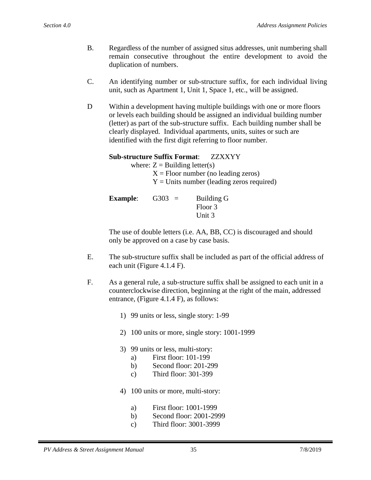- B. Regardless of the number of assigned situs addresses, unit numbering shall remain consecutive throughout the entire development to avoid the duplication of numbers.
- C. An identifying number or sub-structure suffix, for each individual living unit, such as Apartment 1, Unit 1, Space 1, etc., will be assigned.
- D Within a development having multiple buildings with one or more floors or levels each building should be assigned an individual building number (letter) as part of the sub-structure suffix. Each building number shall be clearly displayed. Individual apartments, units, suites or such are identified with the first digit referring to floor number.

### **Sub-structure Suffix Format**: ZZXXYY

where:  $Z =$  Building letter(s)

 $X =$  Floor number (no leading zeros)  $Y =$  Units number (leading zeros required)

**Example:** G303 = Building G Floor 3 Unit 3

The use of double letters (i.e. AA, BB, CC) is discouraged and should only be approved on a case by case basis.

- E. The sub-structure suffix shall be included as part of the official address of each unit (Figure 4.1.4 F).
- F. As a general rule, a sub-structure suffix shall be assigned to each unit in a counterclockwise direction, beginning at the right of the main, addressed entrance, (Figure 4.1.4 F), as follows:
	- 1) 99 units or less, single story: 1-99
	- 2) 100 units or more, single story: 1001-1999
	- 3) 99 units or less, multi-story:
		- a) First floor: 101-199
		- b) Second floor: 201-299
		- c) Third floor: 301-399
	- 4) 100 units or more, multi-story:
		- a) First floor: 1001-1999
		- b) Second floor: 2001-2999
		- c) Third floor: 3001-3999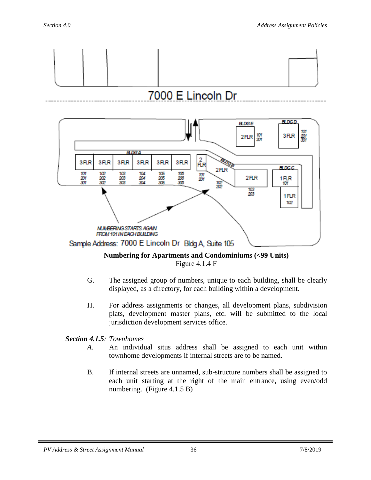



# **Numbering for Apartments and Condominiums (<99 Units)** Figure 4.1.4 F

- G. The assigned group of numbers, unique to each building, shall be clearly displayed, as a directory, for each building within a development.
- H. For address assignments or changes, all development plans, subdivision plats, development master plans, etc. will be submitted to the local jurisdiction development services office.

# *Section 4.1.5: Townhomes*

- *A.* An individual situs address shall be assigned to each unit within townhome developments if internal streets are to be named.
- B. If internal streets are unnamed, sub-structure numbers shall be assigned to each unit starting at the right of the main entrance, using even/odd numbering. (Figure 4.1.5 B)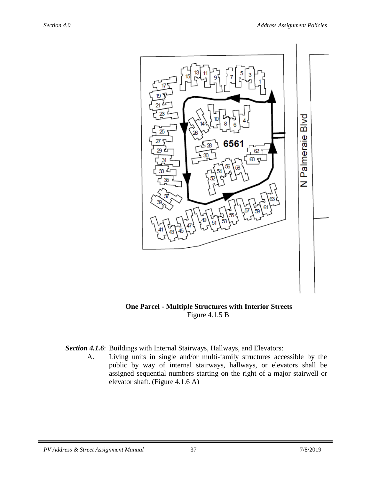

 **One Parcel - Multiple Structures with Interior Streets** Figure 4.1.5 B

*Section 4.1.6*: Buildings with Internal Stairways, Hallways, and Elevators:

A. Living units in single and/or multi-family structures accessible by the public by way of internal stairways, hallways, or elevators shall be assigned sequential numbers starting on the right of a major stairwell or elevator shaft. (Figure 4.1.6 A)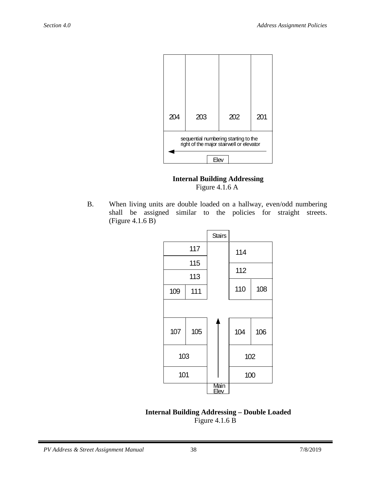

 **Internal Building Addressing** Figure 4.1.6 A

B. When living units are double loaded on a hallway, even/odd numbering shall be assigned similar to the policies for straight streets. (Figure 4.1.6 B)



 **Internal Building Addressing – Double Loaded** Figure 4.1.6 B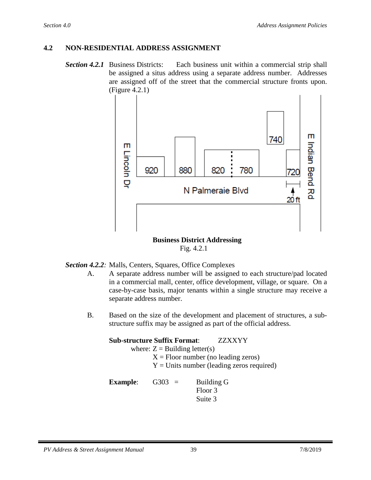# <span id="page-39-0"></span>**4.2 NON-RESIDENTIAL ADDRESS ASSIGNMENT**

**Section 4.2.1** Business Districts: Each business unit within a commercial strip shall be assigned a situs address using a separate address number. Addresses are assigned off of the street that the commercial structure fronts upon. (Figure 4.2.1)



#### **Business District Addressing** Fig. 4.2.1

## *Section 4.2.2:* Malls, Centers, Squares, Office Complexes

- A. A separate address number will be assigned to each structure/pad located in a commercial mall, center, office development, village, or square. On a case-by-case basis, major tenants within a single structure may receive a separate address number.
- B. Based on the size of the development and placement of structures, a substructure suffix may be assigned as part of the official address.

|                      | <b>Sub-structure Suffix Format:</b> | <b>ZZXXYY</b>                               |
|----------------------|-------------------------------------|---------------------------------------------|
|                      | where: $Z =$ Building letter(s)     |                                             |
|                      |                                     | $X =$ Floor number (no leading zeros)       |
|                      |                                     | $Y =$ Units number (leading zeros required) |
| Examnle <sup>.</sup> | $G303 =$                            | <b>Ruilding G</b>                           |

| <b>Example:</b> | G303<br>$\equiv$ | Building G |
|-----------------|------------------|------------|
|                 |                  | Floor 3    |
|                 |                  | Suite 3    |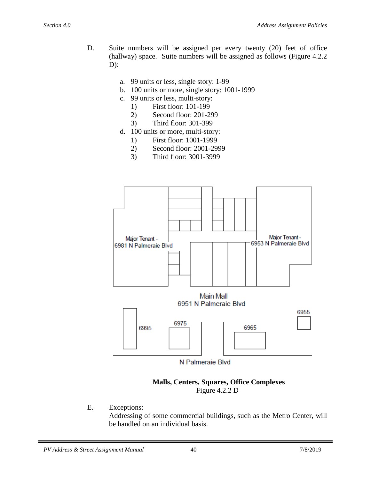- D. Suite numbers will be assigned per every twenty (20) feet of office (hallway) space. Suite numbers will be assigned as follows (Figure 4.2.2  $D$ :
	- a. 99 units or less, single story: 1-99
	- b. 100 units or more, single story: 1001-1999
	- c. 99 units or less, multi-story:
		- 1) First floor: 101-199
		- 2) Second floor: 201-299
		- 3) Third floor: 301-399
	- d. 100 units or more, multi-story:
		- 1) First floor: 1001-1999
		- 2) Second floor: 2001-2999
		- 3) Third floor: 3001-3999



#### **Malls, Centers, Squares, Office Complexes** Figure 4.2.2 D

E. Exceptions:

Addressing of some commercial buildings, such as the Metro Center, will be handled on an individual basis.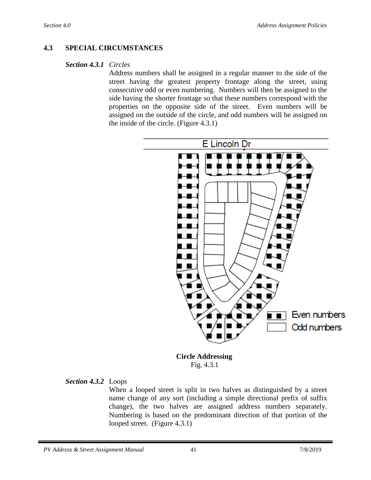### <span id="page-41-0"></span>**4.3 SPECIAL CIRCUMSTANCES**

#### *Section 4.3.1 Circles*

Address numbers shall be assigned in a regular manner to the side of the street having the greatest property frontage along the street, using consecutive odd or even numbering. Numbers will then be assigned to the side having the shorter frontage so that these numbers correspond with the properties on the opposite side of the street. Even numbers will be assigned on the outside of the circle, and odd numbers will be assigned on the inside of the circle. (Figure 4.3.1)



 **Circle Addressing** Fig. 4.3.1

#### *Section 4.3.2* Loops

When a looped street is split in two halves as distinguished by a street name change of any sort (including a simple directional prefix of suffix change), the two halves are assigned address numbers separately. Numbering is based on the predominant direction of that portion of the looped street. (Figure 4.3.1)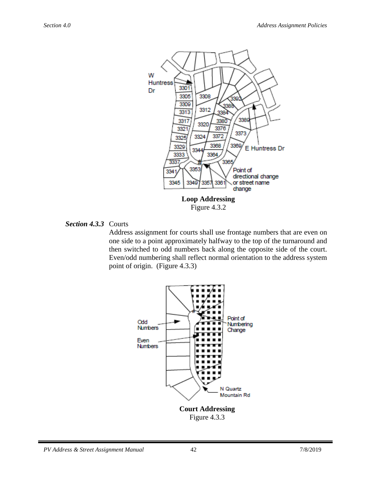

### *Section 4.3.3* Courts

Address assignment for courts shall use frontage numbers that are even on one side to a point approximately halfway to the top of the turnaround and then switched to odd numbers back along the opposite side of the court. Even/odd numbering shall reflect normal orientation to the address system point of origin. (Figure 4.3.3)

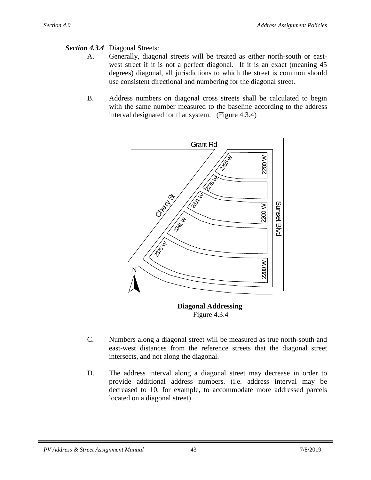## *Section 4.3.4* Diagonal Streets:

- A. Generally, diagonal streets will be treated as either north-south or eastwest street if it is not a perfect diagonal. If it is an exact (meaning 45 degrees) diagonal, all jurisdictions to which the street is common should use consistent directional and numbering for the diagonal street.
- B. Address numbers on diagonal cross streets shall be calculated to begin with the same number measured to the baseline according to the address interval designated for that system. (Figure 4.3.4)



 **Diagonal Addressing** Figure 4.3.4

- C. Numbers along a diagonal street will be measured as true north-south and east-west distances from the reference streets that the diagonal street intersects, and not along the diagonal.
- D. The address interval along a diagonal street may decrease in order to provide additional address numbers. (i.e. address interval may be decreased to 10, for example, to accommodate more addressed parcels located on a diagonal street)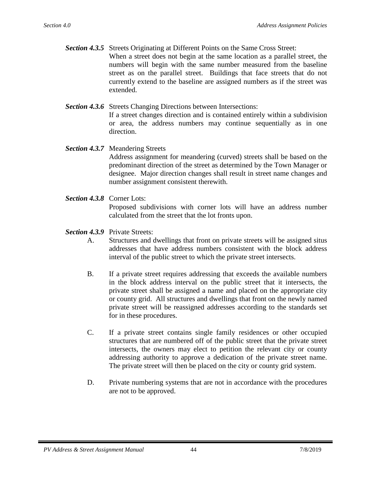- *Section 4.3.5* Streets Originating at Different Points on the Same Cross Street: When a street does not begin at the same location as a parallel street, the numbers will begin with the same number measured from the baseline street as on the parallel street. Buildings that face streets that do not currently extend to the baseline are assigned numbers as if the street was extended.
- *Section 4.3.6* Streets Changing Directions between Intersections: If a street changes direction and is contained entirely within a subdivision or area, the address numbers may continue sequentially as in one direction.
- *Section 4.3.7* Meandering Streets Address assignment for meandering (curved) streets shall be based on the predominant direction of the street as determined by the Town Manager or designee. Major direction changes shall result in street name changes and number assignment consistent therewith.
- *Section 4.3.8* Corner Lots: Proposed subdivisions with corner lots will have an address number calculated from the street that the lot fronts upon.
- *Section 4.3.9* Private Streets:
	- A. Structures and dwellings that front on private streets will be assigned situs addresses that have address numbers consistent with the block address interval of the public street to which the private street intersects.
	- B. If a private street requires addressing that exceeds the available numbers in the block address interval on the public street that it intersects, the private street shall be assigned a name and placed on the appropriate city or county grid. All structures and dwellings that front on the newly named private street will be reassigned addresses according to the standards set for in these procedures.
	- C. If a private street contains single family residences or other occupied structures that are numbered off of the public street that the private street intersects, the owners may elect to petition the relevant city or county addressing authority to approve a dedication of the private street name. The private street will then be placed on the city or county grid system.
	- D. Private numbering systems that are not in accordance with the procedures are not to be approved.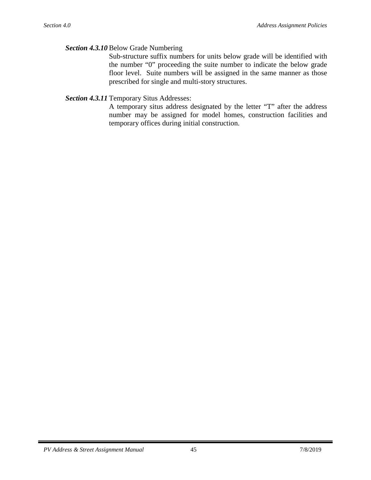#### *Section 4.3.10* Below Grade Numbering

Sub-structure suffix numbers for units below grade will be identified with the number "0" proceeding the suite number to indicate the below grade floor level. Suite numbers will be assigned in the same manner as those prescribed for single and multi-story structures.

### *Section 4.3.11* Temporary Situs Addresses:

A temporary situs address designated by the letter "T" after the address number may be assigned for model homes, construction facilities and temporary offices during initial construction.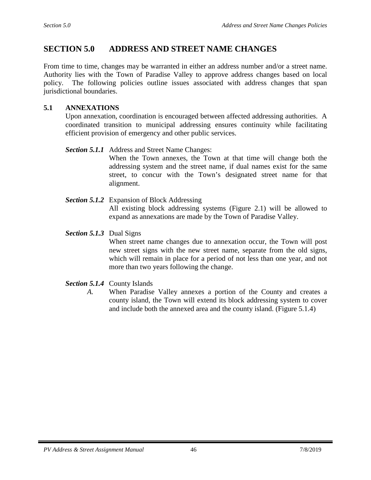# <span id="page-46-0"></span>**SECTION 5.0 ADDRESS AND STREET NAME CHANGES**

From time to time, changes may be warranted in either an address number and/or a street name. Authority lies with the Town of Paradise Valley to approve address changes based on local policy. The following policies outline issues associated with address changes that span jurisdictional boundaries.

### <span id="page-46-1"></span>**5.1 ANNEXATIONS**

Upon annexation, coordination is encouraged between affected addressing authorities. A coordinated transition to municipal addressing ensures continuity while facilitating efficient provision of emergency and other public services.

#### *Section 5.1.1* Address and Street Name Changes:

When the Town annexes, the Town at that time will change both the addressing system and the street name, if dual names exist for the same street, to concur with the Town's designated street name for that alignment.

### *Section 5.1.2* Expansion of Block Addressing

All existing block addressing systems (Figure 2.1) will be allowed to expand as annexations are made by the Town of Paradise Valley.

#### *Section 5.1.3* Dual Signs

When street name changes due to annexation occur, the Town will post new street signs with the new street name, separate from the old signs, which will remain in place for a period of not less than one year, and not more than two years following the change.

- *Section 5.1.4* County Islands
	- *A.* When Paradise Valley annexes a portion of the County and creates a county island, the Town will extend its block addressing system to cover and include both the annexed area and the county island. (Figure 5.1.4)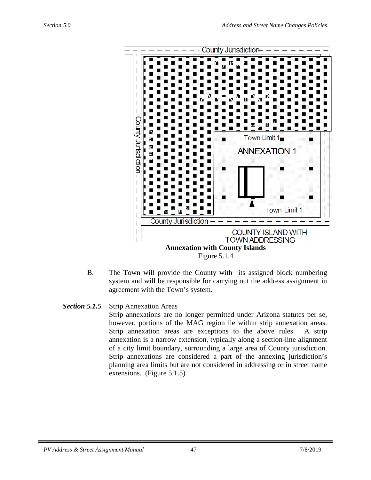

B. The Town will provide the County with its assigned block numbering system and will be responsible for carrying out the address assignment in agreement with the Town's system.

# *Section 5.1.5* Strip Annexation Areas

Strip annexations are no longer permitted under Arizona statutes per se, however, portions of the MAG region lie within strip annexation areas. Strip annexation areas are exceptions to the above rules. A strip annexation is a narrow extension, typically along a section-line alignment of a city limit boundary, surrounding a large area of County jurisdiction. Strip annexations are considered a part of the annexing jurisdiction's planning area limits but are not considered in addressing or in street name extensions. (Figure 5.1.5)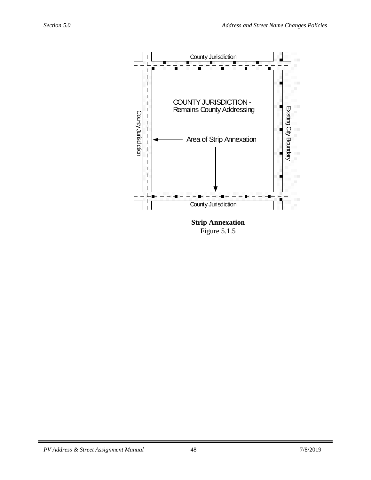

<span id="page-48-0"></span>Figure 5.1.5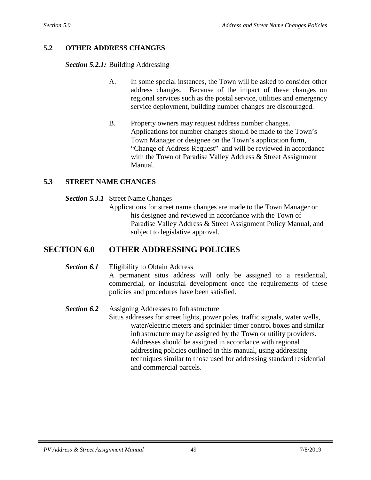## **5.2 OTHER ADDRESS CHANGES**

*Section 5.2.1:* Building Addressing

- A. In some special instances, the Town will be asked to consider other address changes. Because of the impact of these changes on regional services such as the postal service, utilities and emergency service deployment, building number changes are discouraged.
- B. Property owners may request address number changes. Applications for number changes should be made to the Town's Town Manager or designee on the Town's application form, "Change of Address Request" and will be reviewed in accordance with the Town of Paradise Valley Address & Street Assignment Manual.

### <span id="page-49-0"></span>**5.3 STREET NAME CHANGES**

- *Section 5.3.1* Street Name Changes
	- Applications for street name changes are made to the Town Manager or his designee and reviewed in accordance with the Town of Paradise Valley Address & Street Assignment Policy Manual, and subject to legislative approval.

# **SECTION 6.0 OTHER ADDRESSING POLICIES**

*Section 6.1* Eligibility to Obtain Address

A permanent situs address will only be assigned to a residential, commercial, or industrial development once the requirements of these policies and procedures have been satisfied.

<span id="page-49-1"></span>*Section 6.2* Assigning Addresses to Infrastructure

Situs addresses for street lights, power poles, traffic signals, water wells, water/electric meters and sprinkler timer control boxes and similar infrastructure may be assigned by the Town or utility providers. Addresses should be assigned in accordance with regional addressing policies outlined in this manual, using addressing techniques similar to those used for addressing standard residential and commercial parcels.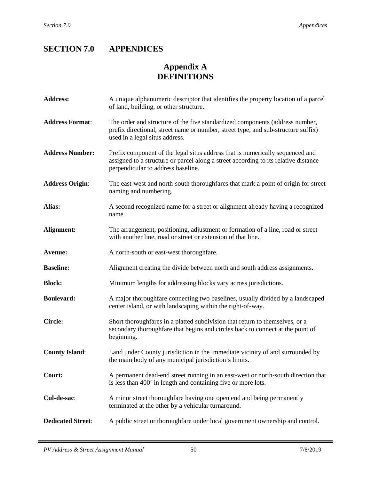# <span id="page-50-0"></span>**SECTION 7.0 APPENDICES**

# **Appendix A DEFINITIONS**

| <b>Address:</b>          | A unique alphanumeric descriptor that identifies the property location of a parcel<br>of land, building, or other structure.                                                                               |
|--------------------------|------------------------------------------------------------------------------------------------------------------------------------------------------------------------------------------------------------|
| <b>Address Format:</b>   | The order and structure of the five standardized components (address number,<br>prefix directional, street name or number, street type, and sub-structure suffix)<br>used in a legal situs address.        |
| <b>Address Number:</b>   | Prefix component of the legal situs address that is numerically sequenced and<br>assigned to a structure or parcel along a street according to its relative distance<br>perpendicular to address baseline. |
| <b>Address Origin:</b>   | The east-west and north-south thoroughfares that mark a point of origin for street<br>naming and numbering.                                                                                                |
| Alias:                   | A second recognized name for a street or alignment already having a recognized<br>name.                                                                                                                    |
| Alignment:               | The arrangement, positioning, adjustment or formation of a line, road or street<br>with another line, road or street or extension of that line.                                                            |
| Avenue:                  | A north-south or east-west thoroughfare.                                                                                                                                                                   |
| <b>Baseline:</b>         | Alignment creating the divide between north and south address assignments.                                                                                                                                 |
| <b>Block:</b>            | Minimum lengths for addressing blocks vary across jurisdictions.                                                                                                                                           |
| <b>Boulevard:</b>        | A major thoroughfare connecting two baselines, usually divided by a landscaped<br>center island, or with landscaping within the right-of-way.                                                              |
| <b>Circle:</b>           | Short thoroughfares in a platted subdivision that return to themselves, or a<br>secondary thoroughfare that begins and circles back to connect at the point of<br>beginning.                               |
| <b>County Island:</b>    | Land under County jurisdiction in the immediate vicinity of and surrounded by<br>the main body of any municipal jurisdiction's limits.                                                                     |
| Court:                   | A permanent dead-end street running in an east-west or north-south direction that<br>is less than 400' in length and containing five or more lots.                                                         |
| Cul-de-sac:              | A minor street thoroughfare having one open end and being permanently<br>terminated at the other by a vehicular turnaround.                                                                                |
| <b>Dedicated Street:</b> | A public street or thoroughfare under local government ownership and control.                                                                                                                              |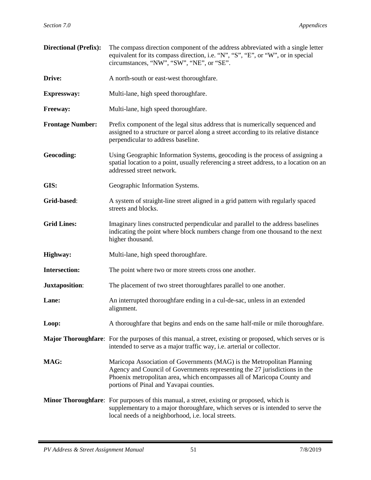| <b>Directional (Prefix):</b> | The compass direction component of the address abbreviated with a single letter<br>equivalent for its compass direction, i.e. "N", "S", "E", or "W", or in special<br>circumstances, "NW", "SW", "NE", or "SE".                                                            |
|------------------------------|----------------------------------------------------------------------------------------------------------------------------------------------------------------------------------------------------------------------------------------------------------------------------|
| Drive:                       | A north-south or east-west thoroughfare.                                                                                                                                                                                                                                   |
| <b>Expressway:</b>           | Multi-lane, high speed thoroughfare.                                                                                                                                                                                                                                       |
| Freeway:                     | Multi-lane, high speed thoroughfare.                                                                                                                                                                                                                                       |
| <b>Frontage Number:</b>      | Prefix component of the legal situs address that is numerically sequenced and<br>assigned to a structure or parcel along a street according to its relative distance<br>perpendicular to address baseline.                                                                 |
| Geocoding:                   | Using Geographic Information Systems, geocoding is the process of assigning a<br>spatial location to a point, usually referencing a street address, to a location on an<br>addressed street network.                                                                       |
| GIS:                         | Geographic Information Systems.                                                                                                                                                                                                                                            |
| Grid-based:                  | A system of straight-line street aligned in a grid pattern with regularly spaced<br>streets and blocks.                                                                                                                                                                    |
| <b>Grid Lines:</b>           | Imaginary lines constructed perpendicular and parallel to the address baselines<br>indicating the point where block numbers change from one thousand to the next<br>higher thousand.                                                                                       |
| <b>Highway:</b>              | Multi-lane, high speed thoroughfare.                                                                                                                                                                                                                                       |
| <b>Intersection:</b>         | The point where two or more streets cross one another.                                                                                                                                                                                                                     |
| <b>Juxtaposition:</b>        | The placement of two street thoroughfares parallel to one another.                                                                                                                                                                                                         |
| Lane:                        | An interrupted thoroughfare ending in a cul-de-sac, unless in an extended<br>alignment.                                                                                                                                                                                    |
| Loop:                        | A thoroughfare that begins and ends on the same half-mile or mile thoroughfare.                                                                                                                                                                                            |
|                              | <b>Major Thoroughfare:</b> For the purposes of this manual, a street, existing or proposed, which serves or is<br>intended to serve as a major traffic way, i.e. arterial or collector.                                                                                    |
| MAG:                         | Maricopa Association of Governments (MAG) is the Metropolitan Planning<br>Agency and Council of Governments representing the 27 jurisdictions in the<br>Phoenix metropolitan area, which encompasses all of Maricopa County and<br>portions of Pinal and Yavapai counties. |
|                              | <b>Minor Thoroughfare:</b> For purposes of this manual, a street, existing or proposed, which is<br>supplementary to a major thoroughfare, which serves or is intended to serve the<br>local needs of a neighborhood, i.e. local streets.                                  |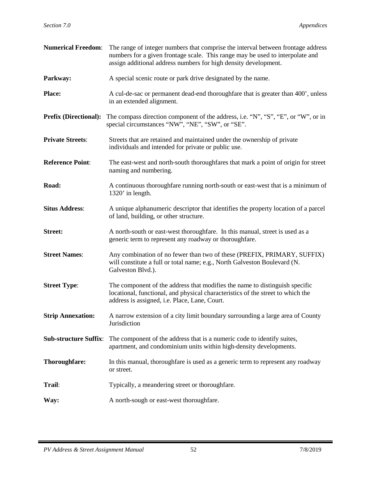| <b>Numerical Freedom:</b>    | The range of integer numbers that comprise the interval between frontage address<br>numbers for a given frontage scale. This range may be used to interpolate and<br>assign additional address numbers for high density development. |
|------------------------------|--------------------------------------------------------------------------------------------------------------------------------------------------------------------------------------------------------------------------------------|
| Parkway:                     | A special scenic route or park drive designated by the name.                                                                                                                                                                         |
| <b>Place:</b>                | A cul-de-sac or permanent dead-end thoroughfare that is greater than 400', unless<br>in an extended alignment.                                                                                                                       |
| <b>Prefix (Directional):</b> | The compass direction component of the address, i.e. "N", "S", "E", or "W", or in<br>special circumstances "NW", "NE", "SW", or "SE".                                                                                                |
| <b>Private Streets:</b>      | Streets that are retained and maintained under the ownership of private<br>individuals and intended for private or public use.                                                                                                       |
| <b>Reference Point:</b>      | The east-west and north-south thoroughfares that mark a point of origin for street<br>naming and numbering.                                                                                                                          |
| Road:                        | A continuous thoroughfare running north-south or east-west that is a minimum of<br>1320' in length.                                                                                                                                  |
| <b>Situs Address:</b>        | A unique alphanumeric descriptor that identifies the property location of a parcel<br>of land, building, or other structure.                                                                                                         |
| <b>Street:</b>               | A north-south or east-west thoroughfare. In this manual, street is used as a<br>generic term to represent any roadway or thoroughfare.                                                                                               |
| <b>Street Names:</b>         | Any combination of no fewer than two of these (PREFIX, PRIMARY, SUFFIX)<br>will constitute a full or total name; e.g., North Galveston Boulevard (N.<br>Galveston Blvd.).                                                            |
| <b>Street Type:</b>          | The component of the address that modifies the name to distinguish specific<br>locational, functional, and physical characteristics of the street to which the<br>address is assigned, i.e. Place, Lane, Court.                      |
| <b>Strip Annexation:</b>     | A narrow extension of a city limit boundary surrounding a large area of County<br>Jurisdiction                                                                                                                                       |
| <b>Sub-structure Suffix:</b> | The component of the address that is a numeric code to identify suites,<br>apartment, and condominium units within high-density developments.                                                                                        |
| Thoroughfare:                | In this manual, thoroughfare is used as a generic term to represent any roadway<br>or street.                                                                                                                                        |
| Trail:                       | Typically, a meandering street or thoroughfare.                                                                                                                                                                                      |
| Way:                         | A north-sough or east-west thoroughfare.                                                                                                                                                                                             |